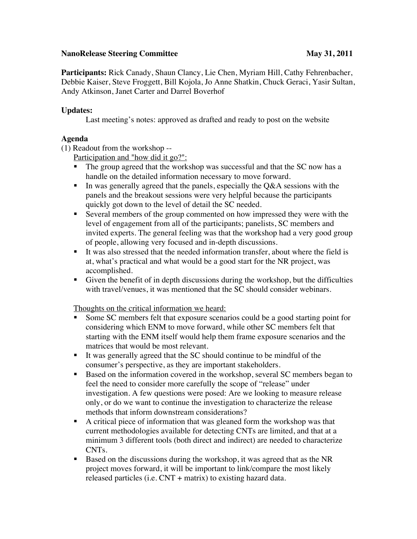## **NanoRelease Steering Committee May 31, 2011**

**Participants:** Rick Canady, Shaun Clancy, Lie Chen, Myriam Hill, Cathy Fehrenbacher, Debbie Kaiser, Steve Froggett, Bill Kojola, Jo Anne Shatkin, Chuck Geraci, Yasir Sultan, Andy Atkinson, Janet Carter and Darrel Boverhof

## **Updates:**

Last meeting's notes: approved as drafted and ready to post on the website

## **Agenda**

(1) Readout from the workshop --

Participation and "how did it go?":

- The group agreed that the workshop was successful and that the SC now has a handle on the detailed information necessary to move forward.
- In was generally agreed that the panels, especially the  $Q&A$  sessions with the panels and the breakout sessions were very helpful because the participants quickly got down to the level of detail the SC needed.
- Several members of the group commented on how impressed they were with the level of engagement from all of the participants; panelists, SC members and invited experts. The general feeling was that the workshop had a very good group of people, allowing very focused and in-depth discussions.
- It was also stressed that the needed information transfer, about where the field is at, what's practical and what would be a good start for the NR project, was accomplished.
- Given the benefit of in depth discussions during the workshop, but the difficulties with travel/venues, it was mentioned that the SC should consider webinars.

Thoughts on the critical information we heard:

- Some SC members felt that exposure scenarios could be a good starting point for considering which ENM to move forward, while other SC members felt that starting with the ENM itself would help them frame exposure scenarios and the matrices that would be most relevant.
- It was generally agreed that the SC should continue to be mindful of the consumer's perspective, as they are important stakeholders.
- Based on the information covered in the workshop, several SC members began to feel the need to consider more carefully the scope of "release" under investigation. A few questions were posed: Are we looking to measure release only, or do we want to continue the investigation to characterize the release methods that inform downstream considerations?
- A critical piece of information that was gleaned form the workshop was that current methodologies available for detecting CNTs are limited, and that at a minimum 3 different tools (both direct and indirect) are needed to characterize CNTs.
- Based on the discussions during the workshop, it was agreed that as the NR project moves forward, it will be important to link/compare the most likely released particles (i.e. CNT + matrix) to existing hazard data.